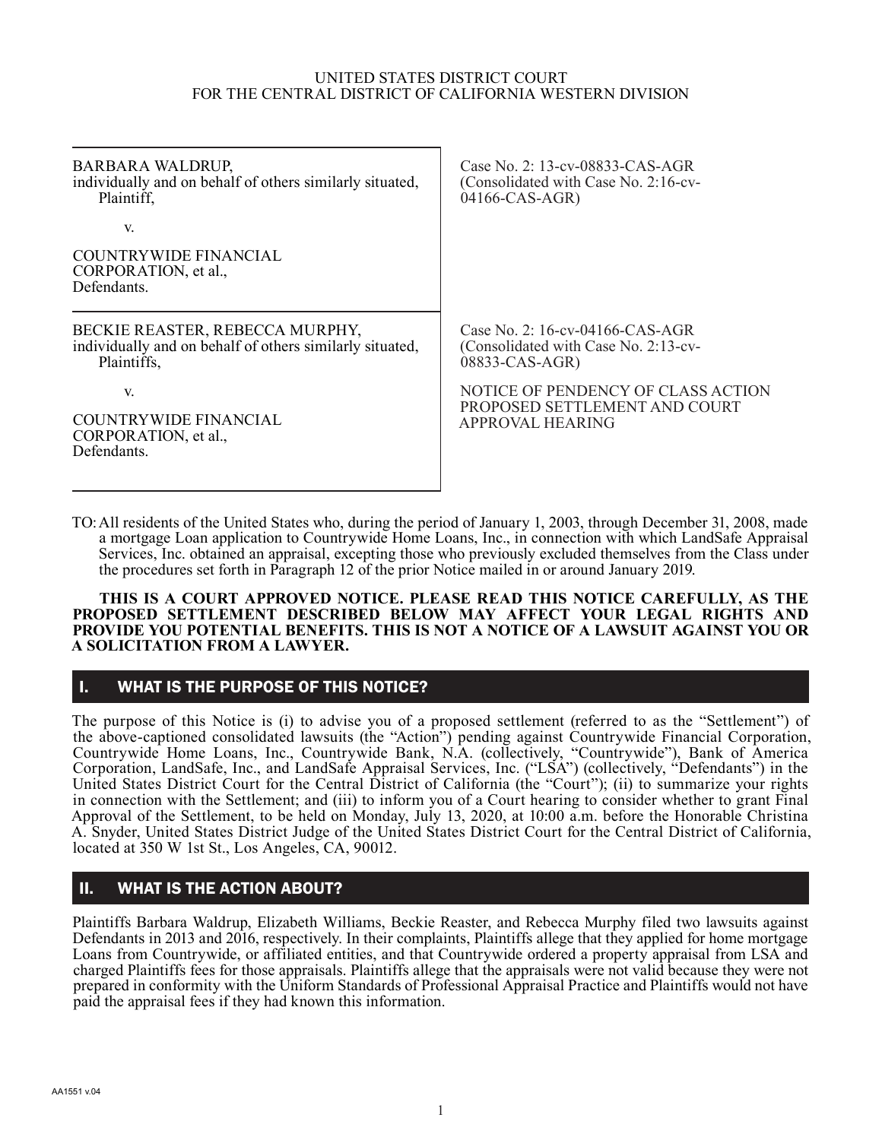#### UNITED STATES DISTRICT COURT FOR THE CENTRAL DISTRICT OF CALIFORNIA WESTERN DIVISION

| BARBARA WALDRUP,<br>individually and on behalf of others similarly situated,<br>Plaintiff,                 | Case No. 2: 13-cv-08833-CAS-AGR<br>(Consolidated with Case No. 2:16-cv-<br>04166-CAS-AGR)    |
|------------------------------------------------------------------------------------------------------------|----------------------------------------------------------------------------------------------|
| V.<br><b>COUNTRYWIDE FINANCIAL</b><br>CORPORATION, et al.,                                                 |                                                                                              |
| Defendants.                                                                                                |                                                                                              |
| BECKIE REASTER, REBECCA MURPHY,<br>individually and on behalf of others similarly situated,<br>Plaintiffs, | Case No. 2: $16$ -cv-04166-CAS-AGR<br>(Consolidated with Case No. 2:13-cv-<br>08833-CAS-AGR) |
| V.<br><b>COUNTRYWIDE FINANCIAL</b><br>CORPORATION, et al.,<br>Defendants.                                  | NOTICE OF PENDENCY OF CLASS ACTION<br>PROPOSED SETTLEMENT AND COURT<br>APPROVAL HEARING      |
|                                                                                                            |                                                                                              |

TO:All residents of the United States who, during the period of January 1, 2003, through December 31, 2008, made a mortgage Loan application to Countrywide Home Loans, Inc., in connection with which LandSafe Appraisal Services, Inc. obtained an appraisal, excepting those who previously excluded themselves from the Class under the procedures set forth in Paragraph 12 of the prior Notice mailed in or around January 2019.

### **THIS IS A COURT APPROVED NOTICE. PLEASE READ THIS NOTICE CAREFULLY, AS THE PROPOSED SETTLEMENT DESCRIBED BELOW MAY AFFECT YOUR LEGAL RIGHTS AND PROVIDE YOU POTENTIAL BENEFITS. THIS IS NOT A NOTICE OF A LAWSUIT AGAINST YOU OR A SOLICITATION FROM A LAWYER.**

## I. WHAT IS THE PURPOSE OF THIS NOTICE?

The purpose of this Notice is (i) to advise you of a proposed settlement (referred to as the "Settlement") of the above-captioned consolidated lawsuits (the "Action") pending against Countrywide Financial Corporation, Countrywide Home Loans, Inc., Countrywide Bank, N.A. (collectively, "Countrywide"), Bank of America Corporation, LandSafe, Inc., and LandSafe Appraisal Services, Inc. ("LSA") (collectively, "Defendants") in the United States District Court for the Central District of California (the "Court"); (ii) to summarize your rights in connection with the Settlement; and (iii) to inform you of a Court hearing to consider whether to grant Final Approval of the Settlement, to be held on Monday, July 13, 2020, at 10:00 a.m. before the Honorable Christina A. Snyder, United States District Judge of the United States District Court for the Central District of California, located at 350 W 1st St., Los Angeles, CA, 90012.

## II. WHAT IS THE ACTION ABOUT?

Plaintiffs Barbara Waldrup, Elizabeth Williams, Beckie Reaster, and Rebecca Murphy filed two lawsuits against Defendants in 2013 and 2016, respectively. In their complaints, Plaintiffs allege that they applied for home mortgage Loans from Countrywide, or affiliated entities, and that Countrywide ordered a property appraisal from LSA and charged Plaintiffs fees for those appraisals. Plaintiffs allege that the appraisals were not valid because they were not prepared in conformity with the Uniform Standards of Professional Appraisal Practice and Plaintiffs would not have paid the appraisal fees if they had known this information.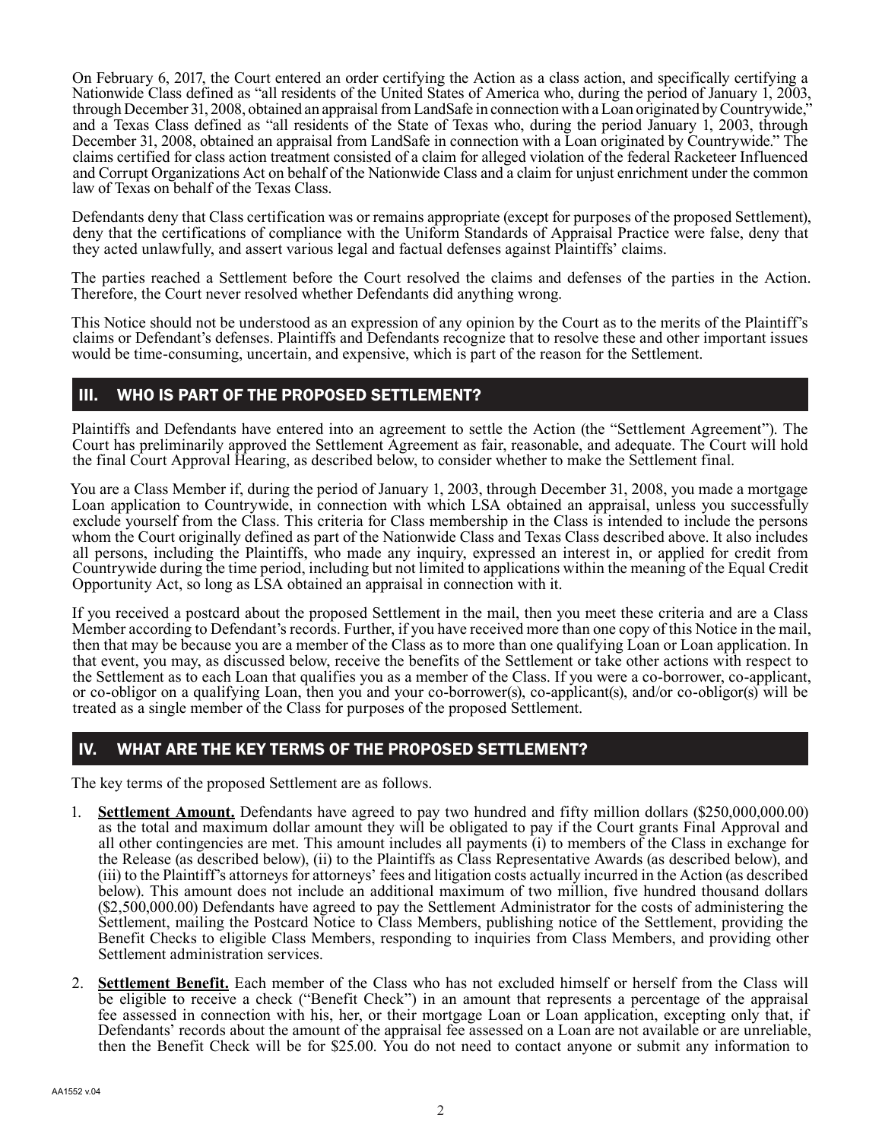On February 6, 2017, the Court entered an order certifying the Action as a class action, and specifically certifying a Nationwide Class defined as "all residents of the United States of America who, during the period of January 1, 2003, through December 31, 2008, obtained an appraisal from LandSafe in connection with a Loan originated by Countrywide," and a Texas Class defined as "all residents of the State of Texas who, during the period January 1, 2003, through December 31, 2008, obtained an appraisal from LandSafe in connection with a Loan originated by Countrywide." The claims certified for class action treatment consisted of a claim for alleged violation of the federal Racketeer Influenced and Corrupt Organizations Act on behalf of the Nationwide Class and a claim for unjust enrichment under the common law of Texas on behalf of the Texas Class.

Defendants deny that Class certification was or remains appropriate (except for purposes of the proposed Settlement), deny that the certifications of compliance with the Uniform Standards of Appraisal Practice were false, deny that they acted unlawfully, and assert various legal and factual defenses against Plaintiffs' claims.

The parties reached a Settlement before the Court resolved the claims and defenses of the parties in the Action. Therefore, the Court never resolved whether Defendants did anything wrong.

This Notice should not be understood as an expression of any opinion by the Court as to the merits of the Plaintiff's claims or Defendant's defenses. Plaintiffs and Defendants recognize that to resolve these and other important issues would be time-consuming, uncertain, and expensive, which is part of the reason for the Settlement.

# III. WHO IS PART OF THE PROPOSED SETTLEMENT?

Plaintiffs and Defendants have entered into an agreement to settle the Action (the "Settlement Agreement"). The Court has preliminarily approved the Settlement Agreement as fair, reasonable, and adequate. The Court will hold the final Court Approval Hearing, as described below, to consider whether to make the Settlement final.

You are a Class Member if, during the period of January 1, 2003, through December 31, 2008, you made a mortgage Loan application to Countrywide, in connection with which LSA obtained an appraisal, unless you successfully exclude yourself from the Class. This criteria for Class membership in the Class is intended to include the persons whom the Court originally defined as part of the Nationwide Class and Texas Class described above. It also includes all persons, including the Plaintiffs, who made any inquiry, expressed an interest in, or applied for credit from Countrywide during the time period, including but not limited to applications within the meaning of the Equal Credit Opportunity Act, so long as LSA obtained an appraisal in connection with it.

If you received a postcard about the proposed Settlement in the mail, then you meet these criteria and are a Class Member according to Defendant's records. Further, if you have received more than one copy of this Notice in the mail, then that may be because you are a member of the Class as to more than one qualifying Loan or Loan application. In that event, you may, as discussed below, receive the benefits of the Settlement or take other actions with respect to the Settlement as to each Loan that qualifies you as a member of the Class. If you were a co-borrower, co-applicant, or co-obligor on a qualifying Loan, then you and your co-borrower(s), co-applicant(s), and/or co-obligor(s) will be treated as a single member of the Class for purposes of the proposed Settlement.

# IV. WHAT ARE THE KEY TERMS OF THE PROPOSED SETTLEMENT?

The key terms of the proposed Settlement are as follows.

- 1. **Settlement Amount.** Defendants have agreed to pay two hundred and fifty million dollars (\$250,000,000.00) as the total and maximum dollar amount they will be obligated to pay if the Court grants Final Approval and all other contingencies are met. This amount includes all payments (i) to members of the Class in exchange for the Release (as described below), (ii) to the Plaintiffs as Class Representative Awards (as described below), and (iii) to the Plaintiff's attorneys for attorneys' fees and litigation costs actually incurred in the Action (as described below). This amount does not include an additional maximum of two million, five hundred thousand dollars (\$2,500,000.00) Defendants have agreed to pay the Settlement Administrator for the costs of administering the Settlement, mailing the Postcard Notice to Class Members, publishing notice of the Settlement, providing the Benefit Checks to eligible Class Members, responding to inquiries from Class Members, and providing other Settlement administration services.
- 2. **Settlement Benefit.** Each member of the Class who has not excluded himself or herself from the Class will be eligible to receive a check ("Benefit Check") in an amount that represents a percentage of the appraisal fee assessed in connection with his, her, or their mortgage Loan or Loan application, excepting only that, if Defendants' records about the amount of the appraisal fee assessed on a Loan are not available or are unreliable, then the Benefit Check will be for \$25.00. You do not need to contact anyone or submit any information to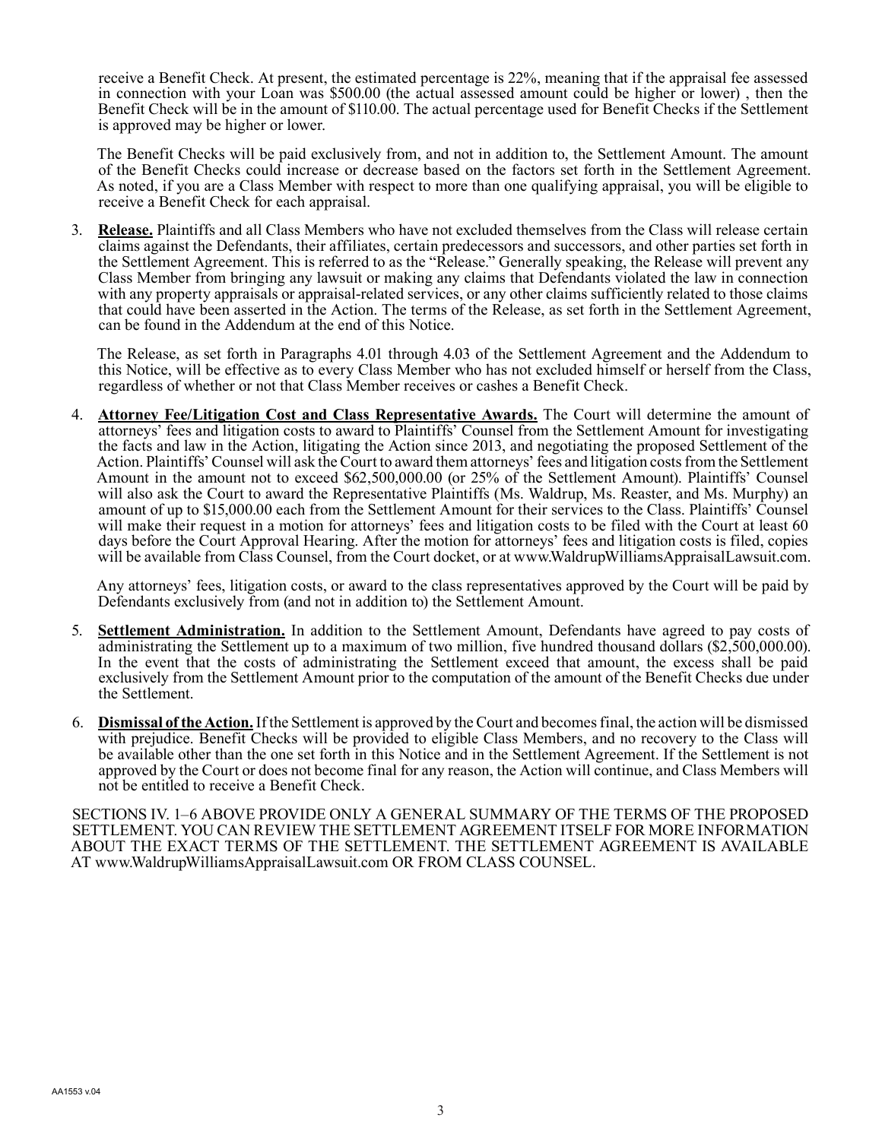receive a Benefit Check. At present, the estimated percentage is 22%, meaning that if the appraisal fee assessed in connection with your Loan was \$500.00 (the actual assessed amount could be higher or lower) , then the Benefit Check will be in the amount of \$110.00. The actual percentage used for Benefit Checks if the Settlement is approved may be higher or lower.

The Benefit Checks will be paid exclusively from, and not in addition to, the Settlement Amount. The amount of the Benefit Checks could increase or decrease based on the factors set forth in the Settlement Agreement. As noted, if you are a Class Member with respect to more than one qualifying appraisal, you will be eligible to receive a Benefit Check for each appraisal.

3. **Release.** Plaintiffs and all Class Members who have not excluded themselves from the Class will release certain claims against the Defendants, their affiliates, certain predecessors and successors, and other parties set forth in the Settlement Agreement. This is referred to as the "Release." Generally speaking, the Release will prevent any Class Member from bringing any lawsuit or making any claims that Defendants violated the law in connection with any property appraisals or appraisal-related services, or any other claims sufficiently related to those claims that could have been asserted in the Action. The terms of the Release, as set forth in the Settlement Agreement, can be found in the Addendum at the end of this Notice.

The Release, as set forth in Paragraphs 4.01 through 4.03 of the Settlement Agreement and the Addendum to this Notice, will be effective as to every Class Member who has not excluded himself or herself from the Class, regardless of whether or not that Class Member receives or cashes a Benefit Check.

4. **Attorney Fee/Litigation Cost and Class Representative Awards.** The Court will determine the amount of attorneys' fees and litigation costs to award to Plaintiffs' Counsel from the Settlement Amount for investigating the facts and law in the Action, litigating the Action since 2013, and negotiating the proposed Settlement of the Action. Plaintiffs' Counsel will ask the Court to award them attorneys' fees and litigation costs from the Settlement Amount in the amount not to exceed \$62,500,000.00 (or 25% of the Settlement Amount). Plaintiffs' Counsel will also ask the Court to award the Representative Plaintiffs (Ms. Waldrup, Ms. Reaster, and Ms. Murphy) an amount of up to \$15,000.00 each from the Settlement Amount for their services to the Class. Plaintiffs' Counsel will make their request in a motion for attorneys' fees and litigation costs to be filed with the Court at least 60 days before the Court Approval Hearing. After the motion for attorneys' fees and litigation costs is filed, copies will be available from Class Counsel, from the Court docket, or at www.WaldrupWilliamsAppraisalLawsuit.com.

Any attorneys' fees, litigation costs, or award to the class representatives approved by the Court will be paid by Defendants exclusively from (and not in addition to) the Settlement Amount.

- 5. **Settlement Administration.** In addition to the Settlement Amount, Defendants have agreed to pay costs of administrating the Settlement up to a maximum of two million, five hundred thousand dollars (\$2,500,000.00). In the event that the costs of administrating the Settlement exceed that amount, the excess shall be paid exclusively from the Settlement Amount prior to the computation of the amount of the Benefit Checks due under the Settlement.
- 6. **Dismissal of the Action.** If the Settlement is approved by the Court and becomes final, the action will be dismissed with prejudice. Benefit Checks will be provided to eligible Class Members, and no recovery to the Class will be available other than the one set forth in this Notice and in the Settlement Agreement. If the Settlement is not approved by the Court or does not become final for any reason, the Action will continue, and Class Members will not be entitled to receive a Benefit Check.

SECTIONS IV. 1–6 ABOVE PROVIDE ONLY A GENERAL SUMMARY OF THE TERMS OF THE PROPOSED SETTLEMENT. YOU CAN REVIEW THE SETTLEMENT AGREEMENT ITSELF FOR MORE INFORMATION ABOUT THE EXACT TERMS OF THE SETTLEMENT. THE SETTLEMENT AGREEMENT IS AVAILABLE AT www.WaldrupWilliamsAppraisalLawsuit.com OR FROM CLASS COUNSEL.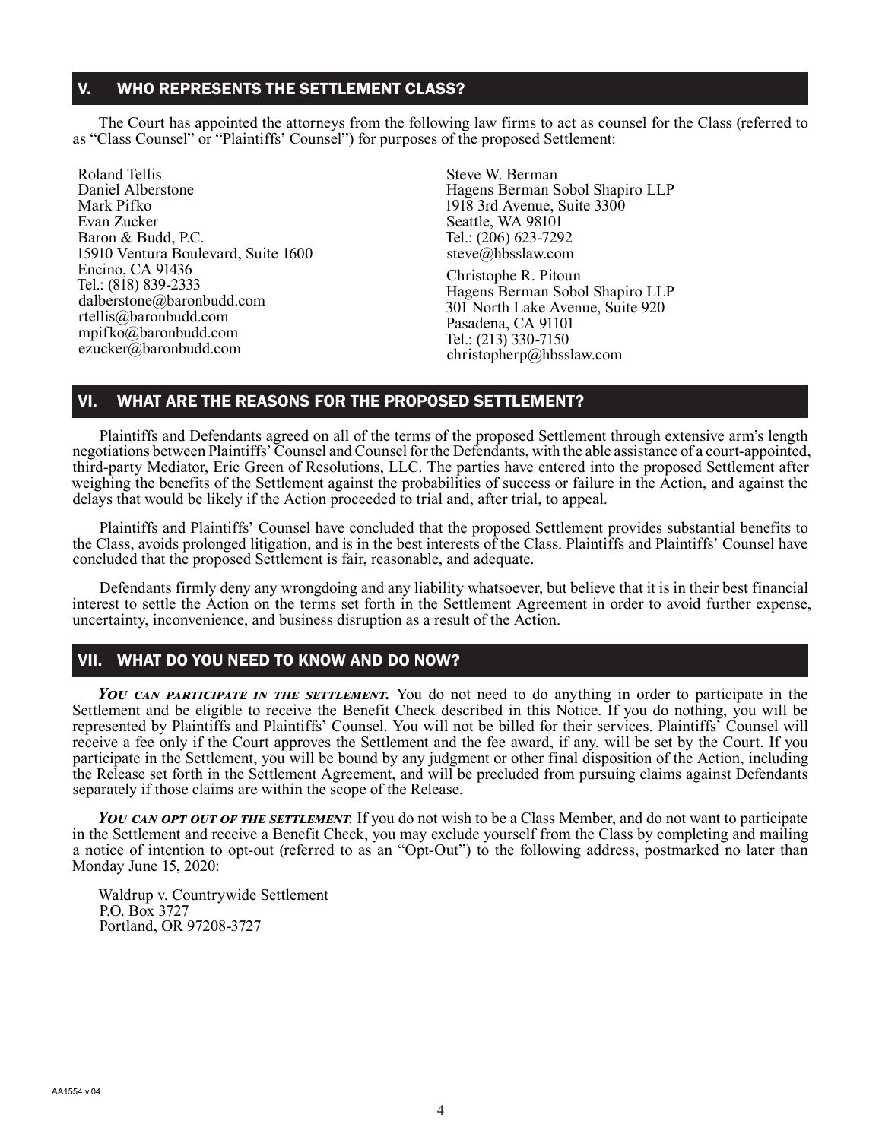## V. WHO REPRESENTS THE SETTLEMENT CLASS?

The Court has appointed the attorneys from the following law firms to act as counsel for the Class (referred to as "Class Counsel" or "Plaintiffs' Counsel") for purposes of the proposed Settlement:

Roland Tellis Daniel Alberstone Mark Pifko Evan Zucker Baron & Budd, P.C. 15910 Ventura Boulevard, Suite 1600 Encino, CA 91436 Tel.: (818) 839-2333 dalberstone@baronbudd.com rtellis@baronbudd.com mpifko@baronbudd.com ezucker@baronbudd.com

Steve W. Berman Hagens Berman Sobol Shapiro LLP 1918 3rd Avenue, Suite 3300 Seattle, WA 98101 Tel.: (206) 623-7292 steve@hbsslaw.com

Christophe R. Pitoun Hagens Berman Sobol Shapiro LLP 301 North Lake Avenue, Suite 920 Pasadena, CA 91101 Tel.: (213) 330-7150 christopherp@hbsslaw.com

### VI. WHAT ARE THE REASONS FOR THE PROPOSED SETTLEMENT?

Plaintiffs and Defendants agreed on all of the terms of the proposed Settlement through extensive arm's length negotiations between Plaintiffs' Counsel and Counsel for the Defendants, with the able assistance of a court-appointed, third-party Mediator, Eric Green of Resolutions, LLC. The parties have entered into the proposed Settlement after weighing the benefits of the Settlement against the probabilities of success or failure in the Action, and against the delays that would be likely if the Action proceeded to trial and, after trial, to appeal.

Plaintiffs and Plaintiffs' Counsel have concluded that the proposed Settlement provides substantial benefits to the Class, avoids prolonged litigation, and is in the best interests of the Class. Plaintiffs and Plaintiffs' Counsel have concluded that the proposed Settlement is fair, reasonable, and adequate.

Defendants firmly deny any wrongdoing and any liability whatsoever, but believe that it is in their best financial interest to settle the Action on the terms set forth in the Settlement Agreement in order to avoid further expense, uncertainty, inconvenience, and business disruption as a result of the Action.

### VII. WHAT DO YOU NEED TO KNOW AND DO NOW?

*You can participate in the settlement.* You do not need to do anything in order to participate in the Settlement and be eligible to receive the Benefit Check described in this Notice. If you do nothing, you will be represented by Plaintiffs and Plaintiffs' Counsel. You will not be billed for their services. Plaintiffs' Counsel will receive a fee only if the Court approves the Settlement and the fee award, if any, will be set by the Court. If you participate in the Settlement, you will be bound by any judgment or other final disposition of the Action, including the Release set forth in the Settlement Agreement, and will be precluded from pursuing claims against Defendants separately if those claims are within the scope of the Release.

You CAN OPT OUT OF THE SETTLEMENT. If you do not wish to be a Class Member, and do not want to participate in the Settlement and receive a Benefit Check, you may exclude yourself from the Class by completing and mailing a notice of intention to opt-out (referred to as an "Opt-Out") to the following address, postmarked no later than Monday June 15, 2020:

Waldrup v. Countrywide Settlement P.O. Box 3727 Portland, OR 97208-3727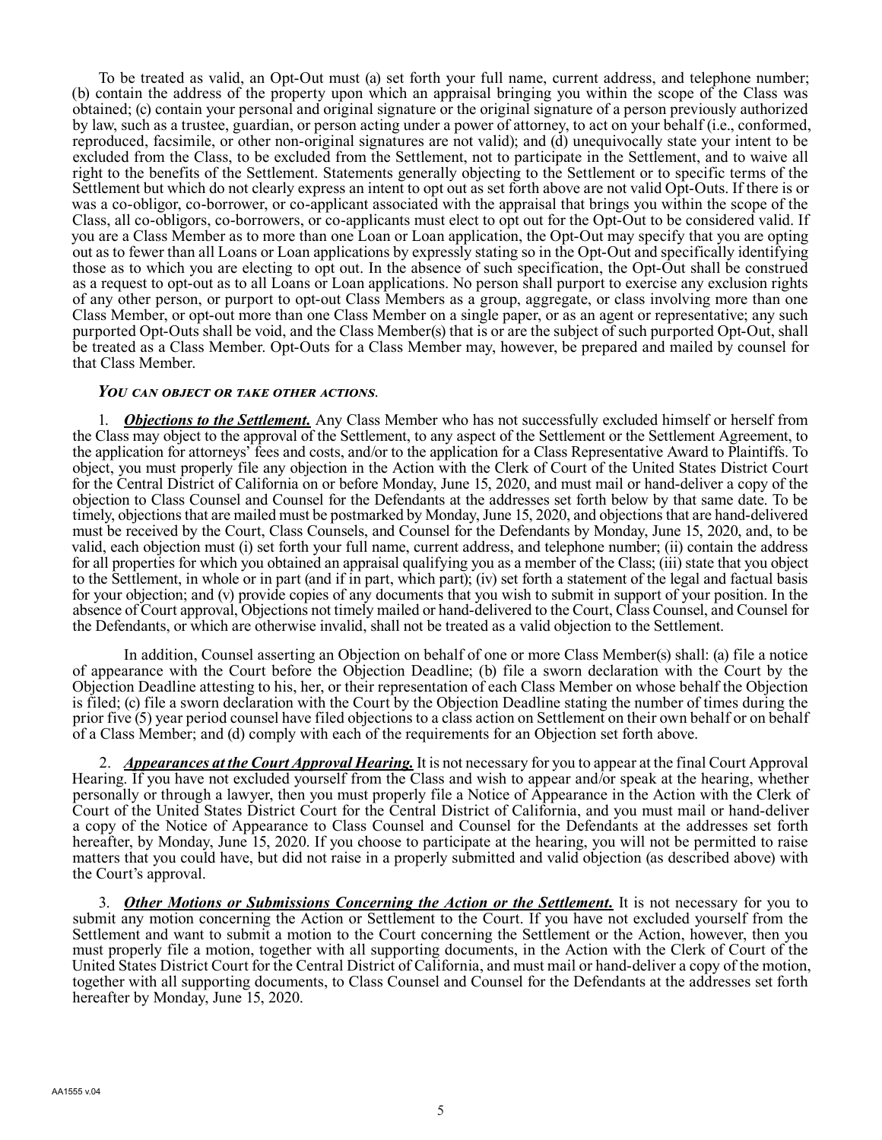To be treated as valid, an Opt-Out must (a) set forth your full name, current address, and telephone number; (b) contain the address of the property upon which an appraisal bringing you within the scope of the Class was obtained; (c) contain your personal and original signature or the original signature of a person previously authorized by law, such as a trustee, guardian, or person acting under a power of attorney, to act on your behalf (i.e., conformed, reproduced, facsimile, or other non-original signatures are not valid); and (d) unequivocally state your intent to be excluded from the Class, to be excluded from the Settlement, not to participate in the Settlement, and to waive all right to the benefits of the Settlement. Statements generally objecting to the Settlement or to specific terms of the Settlement but which do not clearly express an intent to opt out as set forth above are not valid Opt-Outs. If there is or was a co-obligor, co-borrower, or co-applicant associated with the appraisal that brings you within the scope of the Class, all co-obligors, co-borrowers, or co-applicants must elect to opt out for the Opt-Out to be considered valid. If you are a Class Member as to more than one Loan or Loan application, the Opt-Out may specify that you are opting out as to fewer than all Loans or Loan applications by expressly stating so in the Opt-Out and specifically identifying those as to which you are electing to opt out. In the absence of such specification, the Opt-Out shall be construed as a request to opt-out as to all Loans or Loan applications. No person shall purport to exercise any exclusion rights of any other person, or purport to opt-out Class Members as a group, aggregate, or class involving more than one Class Member, or opt-out more than one Class Member on a single paper, or as an agent or representative; any such purported Opt-Outs shall be void, and the Class Member(s) that is or are the subject of such purported Opt-Out, shall be treated as a Class Member. Opt-Outs for a Class Member may, however, be prepared and mailed by counsel for that Class Member.

#### *You can object or take other actions*.

1. *Objections to the Settlement.* Any Class Member who has not successfully excluded himself or herself from the Class may object to the approval of the Settlement, to any aspect of the Settlement or the Settlement Agreement, to the application for attorneys' fees and costs, and/or to the application for a Class Representative Award to Plaintiffs. To object, you must properly file any objection in the Action with the Clerk of Court of the United States District Court for the Central District of California on or before Monday, June 15, 2020, and must mail or hand-deliver a copy of the objection to Class Counsel and Counsel for the Defendants at the addresses set forth below by that same date. To be timely, objections that are mailed must be postmarked by Monday, June 15, 2020, and objections that are hand-delivered must be received by the Court, Class Counsels, and Counsel for the Defendants by Monday, June 15, 2020, and, to be valid, each objection must (i) set forth your full name, current address, and telephone number; (ii) contain the address for all properties for which you obtained an appraisal qualifying you as a member of the Class; (iii) state that you object to the Settlement, in whole or in part (and if in part, which part); (iv) set forth a statement of the legal and factual basis for your objection; and (v) provide copies of any documents that you wish to submit in support of your position. In the absence of Court approval, Objections not timely mailed or hand-delivered to the Court, Class Counsel, and Counsel for the Defendants, or which are otherwise invalid, shall not be treated as a valid objection to the Settlement.

In addition, Counsel asserting an Objection on behalf of one or more Class Member(s) shall: (a) file a notice of appearance with the Court before the Objection Deadline; (b) file a sworn declaration with the Court by the Objection Deadline attesting to his, her, or their representation of each Class Member on whose behalf the Objection is filed; (c) file a sworn declaration with the Court by the Objection Deadline stating the number of times during the prior five (5) year period counsel have filed objections to a class action on Settlement on their own behalf or on behalf of a Class Member; and (d) comply with each of the requirements for an Objection set forth above.

2. *Appearances at the Court Approval Hearing.* It is not necessary for you to appear at the final Court Approval Hearing. If you have not excluded yourself from the Class and wish to appear and/or speak at the hearing, whether personally or through a lawyer, then you must properly file a Notice of Appearance in the Action with the Clerk of Court of the United States District Court for the Central District of California, and you must mail or hand-deliver a copy of the Notice of Appearance to Class Counsel and Counsel for the Defendants at the addresses set forth hereafter, by Monday, June 15, 2020. If you choose to participate at the hearing, you will not be permitted to raise matters that you could have, but did not raise in a properly submitted and valid objection (as described above) with the Court's approval.

3. *Other Motions or Submissions Concerning the Action or the Settlement.* It is not necessary for you to submit any motion concerning the Action or Settlement to the Court. If you have not excluded yourself from the Settlement and want to submit a motion to the Court concerning the Settlement or the Action, however, then you must properly file a motion, together with all supporting documents, in the Action with the Clerk of Court of the United States District Court for the Central District of California, and must mail or hand-deliver a copy of the motion, together with all supporting documents, to Class Counsel and Counsel for the Defendants at the addresses set forth hereafter by Monday, June 15, 2020.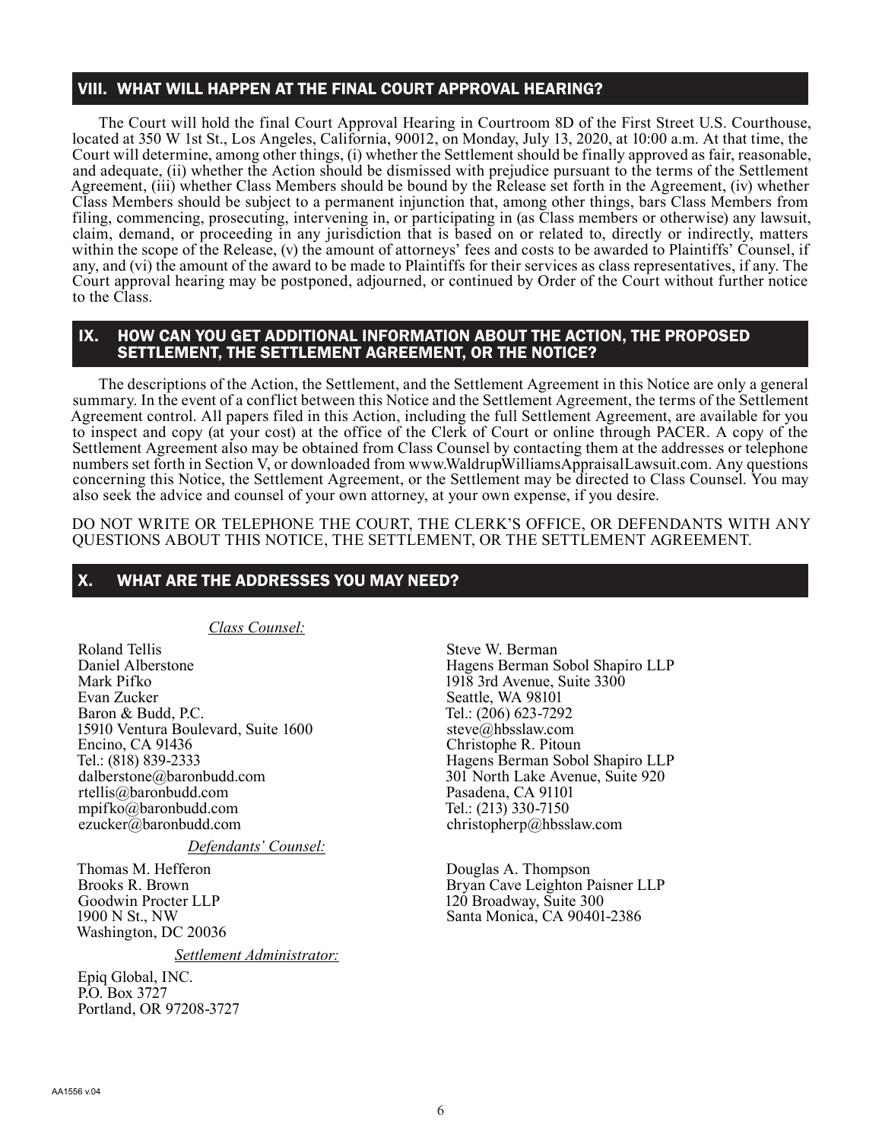## VIII. WHAT WILL HAPPEN AT THE FINAL COURT APPROVAL HEARING?

The Court will hold the final Court Approval Hearing in Courtroom 8D of the First Street U.S. Courthouse, located at 350 W 1st St., Los Angeles, California, 90012, on Monday, July 13, 2020, at 10:00 a.m. At that time, the Court will determine, among other things, (i) whether the Settlement should be finally approved as fair, reasonable, and adequate, (ii) whether the Action should be dismissed with prejudice pursuant to the terms of the Settlement Agreement, (iii) whether Class Members should be bound by the Release set forth in the Agreement, (iv) whether Class Members should be subject to a permanent injunction that, among other things, bars Class Members from filing, commencing, prosecuting, intervening in, or participating in (as Class members or otherwise) any lawsuit, claim, demand, or proceeding in any jurisdiction that is based on or related to, directly or indirectly, matters within the scope of the Release, (v) the amount of attorneys' fees and costs to be awarded to Plaintiffs' Counsel, if any, and (vi) the amount of the award to be made to Plaintiffs for their services as class representatives, if any. The Court approval hearing may be postponed, adjourned, or continued by Order of the Court without further notice to the Class.

### IX. HOW CAN YOU GET ADDITIONAL INFORMATION ABOUT THE ACTION, THE PROPOSED SETTLEMENT, THE SETTLEMENT AGREEMENT, OR THE NOTICE?

The descriptions of the Action, the Settlement, and the Settlement Agreement in this Notice are only a general summary. In the event of a conflict between this Notice and the Settlement Agreement, the terms of the Settlement Agreement control. All papers filed in this Action, including the full Settlement Agreement, are available for you to inspect and copy (at your cost) at the office of the Clerk of Court or online through PACER. A copy of the Settlement Agreement also may be obtained from Class Counsel by contacting them at the addresses or telephone numbers set forth in Section V, or downloaded from www.WaldrupWilliamsAppraisalLawsuit.com. Any questions concerning this Notice, the Settlement Agreement, or the Settlement may be directed to Class Counsel. You may also seek the advice and counsel of your own attorney, at your own expense, if you desire.

DO NOT WRITE OR TELEPHONE THE COURT, THE CLERK'S OFFICE, OR DEFENDANTS WITH ANY QUESTIONS ABOUT THIS NOTICE, THE SETTLEMENT, OR THE SETTLEMENT AGREEMENT.

### X. WHAT ARE THE ADDRESSES YOU MAY NEED?

*Class Counsel:*

Roland Tellis Daniel Alberstone Mark Pifko Evan Zucker Baron & Budd, P.C. 15910 Ventura Boulevard, Suite 1600 Encino, CA 91436 Tel.: (818) 839-2333 dalberstone@baronbudd.com rtellis@baronbudd.com mpifko@baronbudd.com ezucker@baronbudd.com

*Defendants' Counsel:*

Thomas M. Hefferon Brooks R. Brown Goodwin Procter LLP 1900 N St., NW Washington, DC 20036

*Settlement Administrator:*

Epiq Global, INC. P.O. Box 3727 Portland, OR 97208-3727

Steve W. Berman Hagens Berman Sobol Shapiro LLP 1918 3rd Avenue, Suite 3300 Seattle, WA 98101 Tel.: (206) 623-7292 steve@hbsslaw.com Christophe R. Pitoun Hagens Berman Sobol Shapiro LLP 301 North Lake Avenue, Suite 920 Pasadena, CA 91101 Tel.: (213) 330-7150 christopherp@hbsslaw.com

Douglas A. Thompson Bryan Cave Leighton Paisner LLP 120 Broadway, Suite 300 Santa Monica, CA 90401-2386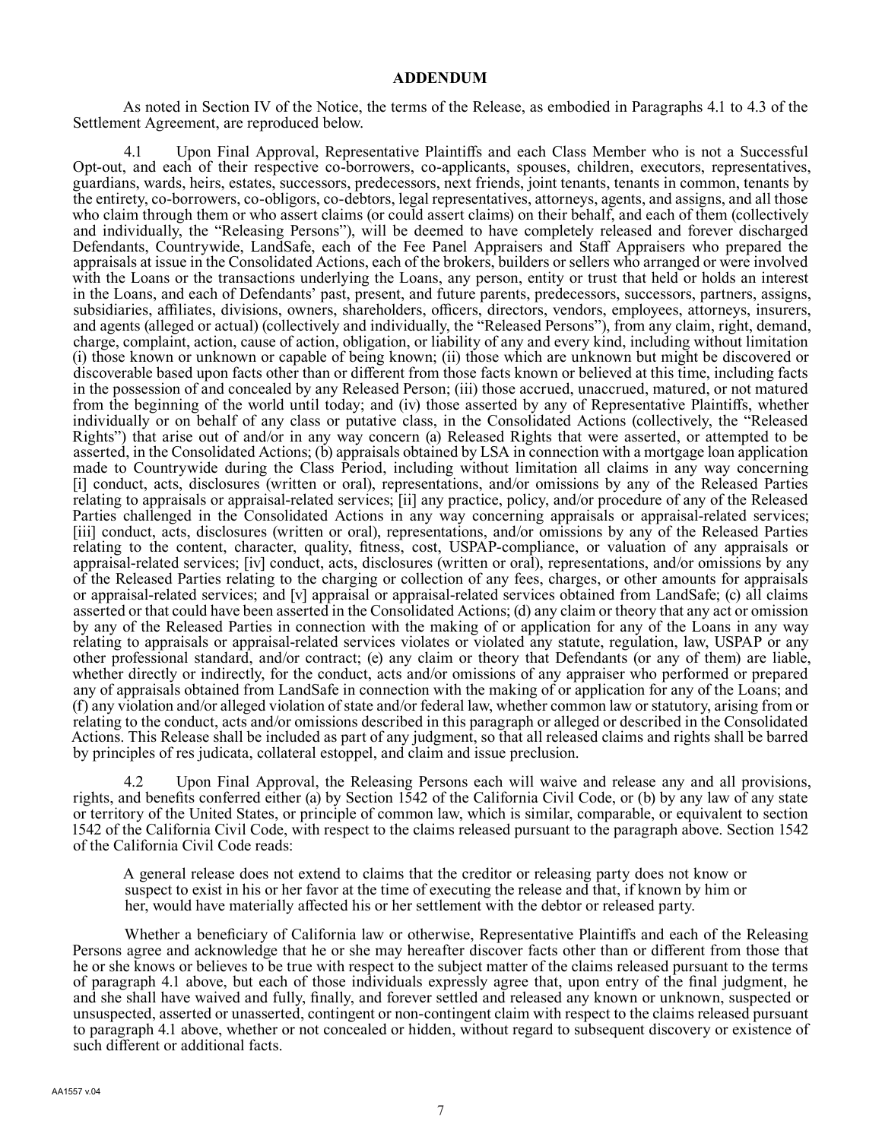#### **ADDENDUM**

As noted in Section IV of the Notice, the terms of the Release, as embodied in Paragraphs 4.1 to 4.3 of the Settlement Agreement, are reproduced below.

4.1 Upon Final Approval, Representative Plaintiffs and each Class Member who is not a Successful Opt-out, and each of their respective co-borrowers, co-applicants, spouses, children, executors, representatives, guardians, wards, heirs, estates, successors, predecessors, next friends, joint tenants, tenants in common, tenants by the entirety, co-borrowers, co-obligors, co-debtors, legal representatives, attorneys, agents, and assigns, and all those who claim through them or who assert claims (or could assert claims) on their behalf, and each of them (collectively and individually, the "Releasing Persons"), will be deemed to have completely released and forever discharged Defendants, Countrywide, LandSafe, each of the Fee Panel Appraisers and Staff Appraisers who prepared the appraisals at issue in the Consolidated Actions, each of the brokers, builders or sellers who arranged or were involved with the Loans or the transactions underlying the Loans, any person, entity or trust that held or holds an interest in the Loans, and each of Defendants' past, present, and future parents, predecessors, successors, partners, assigns, subsidiaries, affiliates, divisions, owners, shareholders, officers, directors, vendors, employees, attorneys, insurers, and agents (alleged or actual) (collectively and individually, the "Released Persons"), from any claim, right, demand, charge, complaint, action, cause of action, obligation, or liability of any and every kind, including without limitation (i) those known or unknown or capable of being known; (ii) those which are unknown but might be discovered or discoverable based upon facts other than or different from those facts known or believed at this time, including facts in the possession of and concealed by any Released Person; (iii) those accrued, unaccrued, matured, or not matured from the beginning of the world until today; and (iv) those asserted by any of Representative Plaintiffs, whether individually or on behalf of any class or putative class, in the Consolidated Actions (collectively, the "Released Rights") that arise out of and/or in any way concern (a) Released Rights that were asserted, or attempted to be asserted, in the Consolidated Actions; (b) appraisals obtained by LSA in connection with a mortgage loan application made to Countrywide during the Class Period, including without limitation all claims in any way concerning [i] conduct, acts, disclosures (written or oral), representations, and/or omissions by any of the Released Parties relating to appraisals or appraisal-related services; [ii] any practice, policy, and/or procedure of any of the Released Parties challenged in the Consolidated Actions in any way concerning appraisals or appraisal-related services; [iii] conduct, acts, disclosures (written or oral), representations, and/or omissions by any of the Released Parties relating to the content, character, quality, fitness, cost, USPAP-compliance, or valuation of any appraisals or appraisal-related services; [iv] conduct, acts, disclosures (written or oral), representations, and/or omissions by any of the Released Parties relating to the charging or collection of any fees, charges, or other amounts for appraisals or appraisal-related services; and [v] appraisal or appraisal-related services obtained from LandSafe; (c) all claims asserted or that could have been asserted in the Consolidated Actions; (d) any claim or theory that any act or omission by any of the Released Parties in connection with the making of or application for any of the Loans in any way relating to appraisals or appraisal-related services violates or violated any statute, regulation, law, USPAP or any other professional standard, and/or contract; (e) any claim or theory that Defendants (or any of them) are liable, whether directly or indirectly, for the conduct, acts and/or omissions of any appraiser who performed or prepared any of appraisals obtained from LandSafe in connection with the making of or application for any of the Loans; and (f) any violation and/or alleged violation of state and/or federal law, whether common law or statutory, arising from or relating to the conduct, acts and/or omissions described in this paragraph or alleged or described in the Consolidated Actions. This Release shall be included as part of any judgment, so that all released claims and rights shall be barred by principles of res judicata, collateral estoppel, and claim and issue preclusion.

Upon Final Approval, the Releasing Persons each will waive and release any and all provisions, rights, and benefits conferred either (a) by Section 1542 of the California Civil Code, or (b) by any law of any state or territory of the United States, or principle of common law, which is similar, comparable, or equivalent to section 1542 of the California Civil Code, with respect to the claims released pursuant to the paragraph above. Section 1542 of the California Civil Code reads:

A general release does not extend to claims that the creditor or releasing party does not know or suspect to exist in his or her favor at the time of executing the release and that, if known by him or her, would have materially affected his or her settlement with the debtor or released party.

 Whether a beneficiary of California law or otherwise, Representative Plaintiffs and each of the Releasing Persons agree and acknowledge that he or she may hereafter discover facts other than or different from those that he or she knows or believes to be true with respect to the subject matter of the claims released pursuant to the terms of paragraph 4.1 above, but each of those individuals expressly agree that, upon entry of the final judgment, he and she shall have waived and fully, finally, and forever settled and released any known or unknown, suspected or unsuspected, asserted or unasserted, contingent or non-contingent claim with respect to the claims released pursuant to paragraph 4.1 above, whether or not concealed or hidden, without regard to subsequent discovery or existence of such different or additional facts.